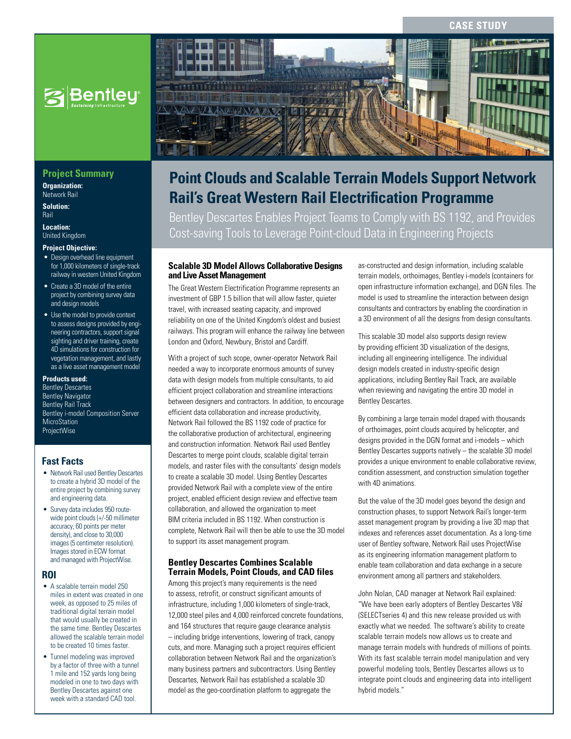#### **CASE STUD**



#### **Project Summary**

**Organization:**  Network Rail

**Solution:**  Rail

**Location:**  United Kingdom

#### **Project Objective:**

- Design overhead line equipment for 1,000 kilometers of single-track railway in western United Kingdom
- Create a 3D model of the entire project by combining survey data and design models
- Use the model to provide context to assess designs provided by engineering contractors, support signal sighting and driver training, create 4D simulations for construction for vegetation management, and lastly as a live asset management model

#### **Products used:**

Bentley Descartes Bentley Navigator **Bentley Rail Track** Bentley i-model Composition Server **MicroStation** ProjectWise

#### **Fast Facts**

- Network Rail used Bentley Descartes to create a hybrid 3D model of the entire project by combining survey and engineering data.
- Survey data includes 950 routewide point clouds (+/-50 millimeter accuracy, 60 points per meter density), and close to 30,000 images (5 centimeter resolution). Images stored in ECW format and managed with ProjectWise.

#### **ROI**

- A scalable terrain model 250 miles in extent was created in one week, as opposed to 25 miles of traditional digital terrain model that would usually be created in the same time. Bentley Descartes allowed the scalable terrain model to be created 10 times faster.
- Tunnel modeling was improved by a factor of three with a tunnel 1 mile and 152 yards long being modeled in one to two days with Bentley Descartes against one week with a standard CAD tool.



# **Point Clouds and Scalable Terrain Models Support Network Rail's Great Western Rail Electrification Programme**

Bentley Descartes Enables Project Teams to Comply with BS 1192, and Provides Cost-saving Tools to Leverage Point-cloud Data in Engineering Projects

#### **Scalable 3D Model Allows Collaborative Designs and Live Asset Management**

The Great Western Electrification Programme represents an investment of GBP 1.5 billion that will allow faster, quieter travel, with increased seating capacity, and improved reliability on one of the United Kingdom's oldest and busiest railways. This program will enhance the railway line between London and Oxford, Newbury, Bristol and Cardiff.

With a project of such scope, owner-operator Network Rail needed a way to incorporate enormous amounts of survey data with design models from multiple consultants, to aid efficient project collaboration and streamline interactions between designers and contractors. In addition, to encourage efficient data collaboration and increase productivity, Network Rail followed the BS 1192 code of practice for the collaborative production of architectural, engineering and construction information. Network Rail used Bentley Descartes to merge point clouds, scalable digital terrain models, and raster files with the consultants' design models to create a scalable 3D model. Using Bentley Descartes provided Network Rail with a complete view of the entire project, enabled efficient design review and effective team collaboration, and allowed the organization to meet BIM criteria included in BS 1192. When construction is complete, Network Rail will then be able to use the 3D model to support its asset management program.

#### **Bentley Descartes Combines Scalable Terrain Models, Point Clouds, and CAD files**

Among this project's many requirements is the need to assess, retrofit, or construct significant amounts of infrastructure, including 1,000 kilometers of single-track, 12,000 steel piles and 4,000 reinforced concrete foundations, and 164 structures that require gauge clearance analysis – including bridge interventions, lowering of track, canopy cuts, and more. Managing such a project requires efficient collaboration between Network Rail and the organization's many business partners and subcontractors. Using Bentley Descartes, Network Rail has established a scalable 3D model as the geo-coordination platform to aggregate the

as-constructed and design information, including scalable terrain models, orthoimages, Bentley i-models (containers for open infrastructure information exchange), and DGN files. The model is used to streamline the interaction between design consultants and contractors by enabling the coordination in a 3D environment of all the designs from design consultants.

This scalable 3D model also supports design review by providing efficient 3D visualization of the designs, including all engineering intelligence. The individual design models created in industry-specific design applications, including Bentley Rail Track, are available when reviewing and navigating the entire 3D model in Bentley Descartes.

By combining a large terrain model draped with thousands of orthoimages, point clouds acquired by helicopter, and designs provided in the DGN format and i-models – which Bentley Descartes supports natively – the scalable 3D model provides a unique environment to enable collaborative review, condition assessment, and construction simulation together with 4D animations.

But the value of the 3D model goes beyond the design and construction phases, to support Network Rail's longer-term asset management program by providing a live 3D map that indexes and references asset documentation. As a long-time user of Bentley software, Network Rail uses ProjectWise as its engineering information management platform to enable team collaboration and data exchange in a secure environment among all partners and stakeholders.

John Nolan, CAD manager at Network Rail explained: "We have been early adopters of Bentley Descartes V8*i* (SELECTseries 4) and this new release provided us with exactly what we needed. The software's ability to create scalable terrain models now allows us to create and manage terrain models with hundreds of millions of points. With its fast scalable terrain model manipulation and very powerful modeling tools, Bentley Descartes allows us to integrate point clouds and engineering data into intelligent hybrid models."